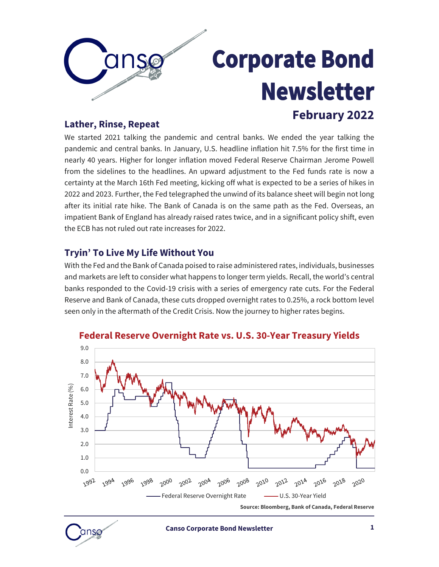

## **Corporate Bond Newsletter February 2022**

#### **Lather, Rinse, Repeat**

We started 2021 talking the pandemic and central banks. We ended the year talking the pandemic and central banks. In January, U.S. headline inflation hit 7.5% for the first time in nearly 40 years. Higher for longer inflation moved Federal Reserve Chairman Jerome Powell from the sidelines to the headlines. An upward adjustment to the Fed funds rate is now a certainty at the March 16th Fed meeting, kicking off what is expected to be a series of hikes in 2022 and 2023. Further, the Fed telegraphed the unwind of its balance sheet will begin not long after its initial rate hike. The Bank of Canada is on the same path as the Fed. Overseas, an impatient Bank of England has already raised rates twice, and in a significant policy shift, even the ECB has not ruled out rate increases for 2022.

#### **Tryin' To Live My Life Without You**

With the Fed and the Bank of Canada poised to raise administered rates, individuals, businesses and markets are left to consider what happens to longer term yields. Recall, the world's central banks responded to the Covid-19 crisis with a series of emergency rate cuts. For the Federal Reserve and Bank of Canada, these cuts dropped overnight rates to 0.25%, a rock bottom level seen only in the aftermath of the Credit Crisis. Now the journey to higher rates begins.



#### **Federal Reserve Overnight Rate vs. U.S. 30-Year Treasury Yields**

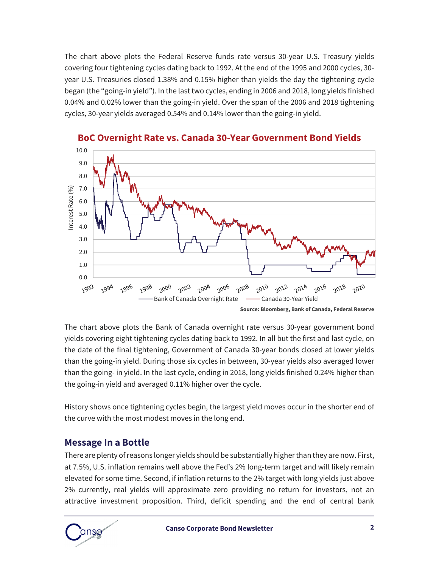The chart above plots the Federal Reserve funds rate versus 30-year U.S. Treasury yields covering four tightening cycles dating back to 1992. At the end of the 1995 and 2000 cycles, 30 year U.S. Treasuries closed 1.38% and 0.15% higher than yields the day the tightening cycle began (the "going-in yield"). In the last two cycles, ending in 2006 and 2018, long yields finished 0.04% and 0.02% lower than the going-in yield. Over the span of the 2006 and 2018 tightening cycles, 30-year yields averaged 0.54% and 0.14% lower than the going-in yield.



**BoC Overnight Rate vs. Canada 30-Year Government Bond Yields**

The chart above plots the Bank of Canada overnight rate versus 30-year government bond yields covering eight tightening cycles dating back to 1992. In all but the first and last cycle, on the date of the final tightening, Government of Canada 30-year bonds closed at lower yields than the going-in yield. During those six cycles in between, 30-year yields also averaged lower than the going- in yield. In the last cycle, ending in 2018, long yields finished 0.24% higher than the going-in yield and averaged 0.11% higher over the cycle.

History shows once tightening cycles begin, the largest yield moves occur in the shorter end of the curve with the most modest moves in the long end.

#### **Message In a Bottle**

There are plenty of reasons longer yields should be substantially higher than they are now. First, at 7.5%, U.S. inflation remains well above the Fed's 2% long-term target and will likely remain elevated for some time. Second, if inflation returns to the 2% target with long yields just above 2% currently, real yields will approximate zero providing no return for investors, not an attractive investment proposition. Third, deficit spending and the end of central bank



**Source: Bloomberg, Bank of Canada, Federal Reserve**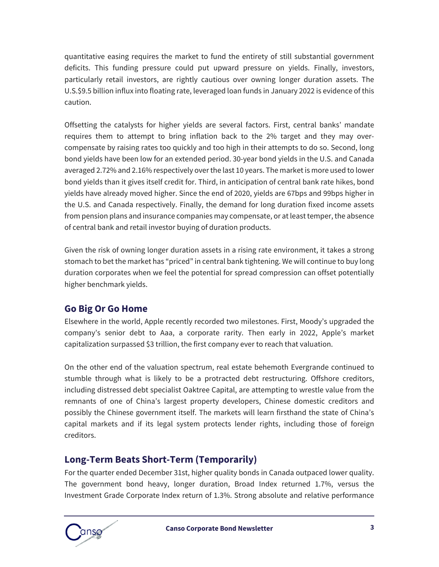quantitative easing requires the market to fund the entirety of still substantial government deficits. This funding pressure could put upward pressure on yields. Finally, investors, particularly retail investors, are rightly cautious over owning longer duration assets. The U.S.\$9.5 billion influx into floating rate, leveraged loan funds in January 2022 is evidence of this caution.

Offsetting the catalysts for higher yields are several factors. First, central banks' mandate requires them to attempt to bring inflation back to the 2% target and they may overcompensate by raising rates too quickly and too high in their attempts to do so. Second, long bond yields have been low for an extended period. 30-year bond yields in the U.S. and Canada averaged 2.72% and 2.16% respectively over the last 10 years. The market is more used to lower bond yields than it gives itself credit for. Third, in anticipation of central bank rate hikes, bond yields have already moved higher. Since the end of 2020, yields are 67bps and 99bps higher in the U.S. and Canada respectively. Finally, the demand for long duration fixed income assets from pension plans and insurance companies may compensate, or at least temper, the absence of central bank and retail investor buying of duration products.

Given the risk of owning longer duration assets in a rising rate environment, it takes a strong stomach to bet the market has "priced" in central bank tightening. We will continue to buy long duration corporates when we feel the potential for spread compression can offset potentially higher benchmark yields.

#### **Go Big Or Go Home**

Elsewhere in the world, Apple recently recorded two milestones. First, Moody's upgraded the company's senior debt to Aaa, a corporate rarity. Then early in 2022, Apple's market capitalization surpassed \$3 trillion, the first company ever to reach that valuation.

On the other end of the valuation spectrum, real estate behemoth Evergrande continued to stumble through what is likely to be a protracted debt restructuring. Offshore creditors, including distressed debt specialist Oaktree Capital, are attempting to wrestle value from the remnants of one of China's largest property developers, Chinese domestic creditors and possibly the Chinese government itself. The markets will learn firsthand the state of China's capital markets and if its legal system protects lender rights, including those of foreign creditors.

#### **Long-Term Beats Short-Term (Temporarily)**

For the quarter ended December 31st, higher quality bonds in Canada outpaced lower quality. The government bond heavy, longer duration, Broad Index returned 1.7%, versus the Investment Grade Corporate Index return of 1.3%. Strong absolute and relative performance

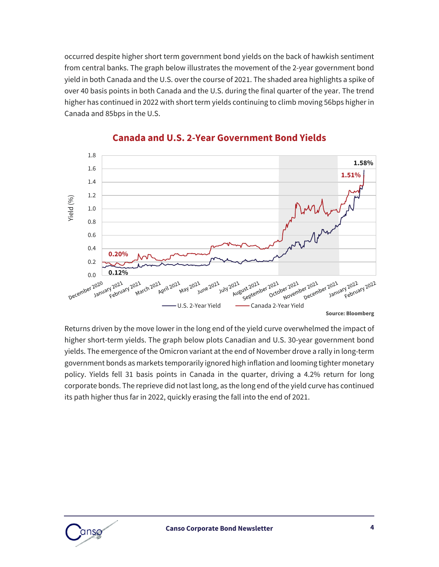occurred despite higher short term government bond yields on the back of hawkish sentiment from central banks. The graph below illustrates the movement of the 2-year government bond yield in both Canada and the U.S. over the course of 2021. The shaded area highlights a spike of over 40 basis points in both Canada and the U.S. during the final quarter of the year. The trend higher has continued in 2022 with short term yields continuing to climb moving 56bps higher in Canada and 85bps in the U.S.



#### **Canada and U.S. 2-Year Government Bond Yields**

Returns driven by the move lower in the long end of the yield curve overwhelmed the impact of higher short-term yields. The graph below plots Canadian and U.S. 30-year government bond yields. The emergence of the Omicron variant at the end of November drove a rally in long-term government bonds as markets temporarily ignored high inflation and looming tighter monetary policy. Yields fell 31 basis points in Canada in the quarter, driving a 4.2% return for long corporate bonds. The reprieve did not last long, as the long end of the yield curve has continued its path higher thus far in 2022, quickly erasing the fall into the end of 2021.

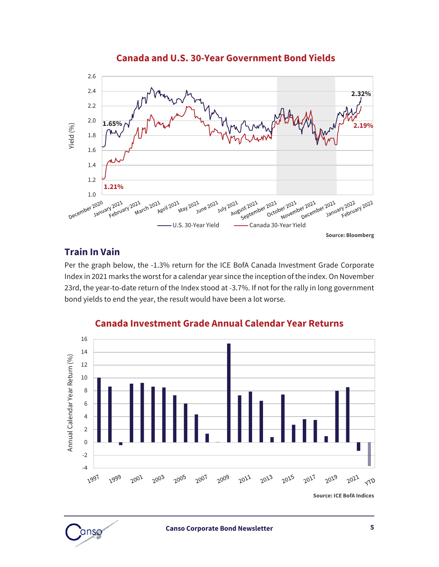2.6 2.4 **2.32%** 2.2 2.0 **1.65%** Yield (%) **2.19%** 1.8 1.6 1.4 1.2 **1.21%** 1.0 In 2021<br>February 2021 www.authorizouter.html<br>U.S. 30-Year Yield Canada 30-Year Year Year January 2021<br>U.S. 30-Year Yield — Canada 30-Year Yield 2021<br>October 2021 2021<br>January 2022<br>Februa Ary 2022<br>February 2022 021 2021 21 une 2021 21 April 2021 1<br>May 2021 1 July 2021 021<br>August 2021 **Source: Bloomberg**

#### **Canada and U.S. 30-Year Government Bond Yields**

#### **Train In Vain**

Per the graph below, the -1.3% return for the ICE BofA Canada Investment Grade Corporate Index in 2021 marks the worst for a calendar year since the inception of the index. On November 23rd, the year-to-date return of the Index stood at -3.7%. If not for the rally in long government bond yields to end the year, the result would have been a lot worse.



#### **Canada Investment Grade Annual Calendar Year Returns**

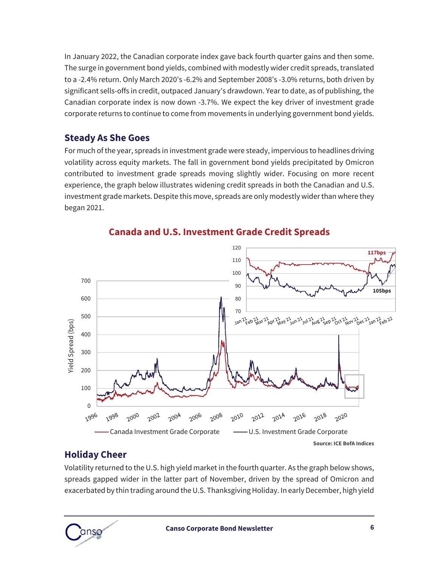In January 2022, the Canadian corporate index gave back fourth quarter gains and then some. The surge in government bond yields, combined with modestly wider credit spreads, translated to a -2.4% return. Only March 2020's -6.2% and September 2008's -3.0% returns, both driven by significant sells-offs in credit, outpaced January's drawdown. Year to date, as of publishing, the Canadian corporate index is now down -3.7%. We expect the key driver of investment grade corporate returns to continue to come from movements in underlying government bond yields.

#### **Steady As She Goes**

For much of the year, spreads in investment grade were steady, impervious to headlines driving volatility across equity markets. The fall in government bond yields precipitated by Omicron contributed to investment grade spreads moving slightly wider. Focusing on more recent experience, the graph below illustrates widening credit spreads in both the Canadian and U.S. investment grade markets. Despite this move, spreads are only modestly wider than where they began 2021.



**Canada and U.S. Investment Grade Credit Spreads**

#### **Holiday Cheer**

Volatility returned to the U.S. high yield market in the fourth quarter. As the graph below shows, spreads gapped wider in the latter part of November, driven by the spread of Omicron and exacerbated by thin trading around the U.S. Thanksgiving Holiday. In early December, high yield

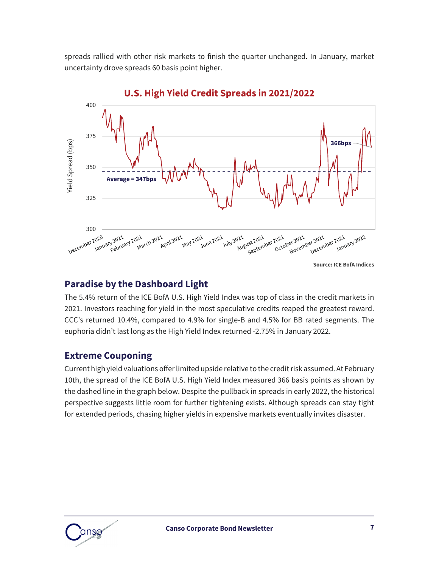spreads rallied with other risk markets to finish the quarter unchanged. In January, market uncertainty drove spreads 60 basis point higher.



#### **U.S. High Yield Credit Spreads in 2021/2022**

#### **Paradise by the Dashboard Light**

The 5.4% return of the ICE BofA U.S. High Yield Index was top of class in the credit markets in 2021. Investors reaching for yield in the most speculative credits reaped the greatest reward. CCC's returned 10.4%, compared to 4.9% for single-B and 4.5% for BB rated segments. The euphoria didn't last long as the High Yield Index returned -2.75% in January 2022.

#### **Extreme Couponing**

Current high yield valuations offer limited upside relative to the credit risk assumed. At February 10th, the spread of the ICE BofA U.S. High Yield Index measured 366 basis points as shown by the dashed line in the graph below. Despite the pullback in spreads in early 2022, the historical perspective suggests little room for further tightening exists. Although spreads can stay tight for extended periods, chasing higher yields in expensive markets eventually invites disaster.

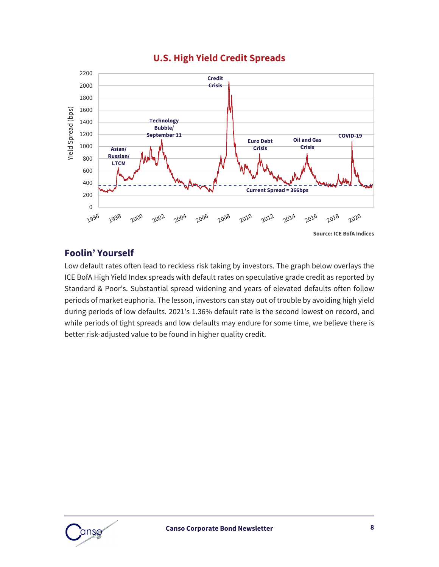#### **U.S. High Yield Credit Spreads**



#### **Foolin' Yourself**

Low default rates often lead to reckless risk taking by investors. The graph below overlays the ICE BofA High Yield Index spreads with default rates on speculative grade credit as reported by Standard & Poor's. Substantial spread widening and years of elevated defaults often follow periods of market euphoria. The lesson, investors can stay out of trouble by avoiding high yield during periods of low defaults. 2021's 1.36% default rate is the second lowest on record, and while periods of tight spreads and low defaults may endure for some time, we believe there is better risk-adjusted value to be found in higher quality credit.

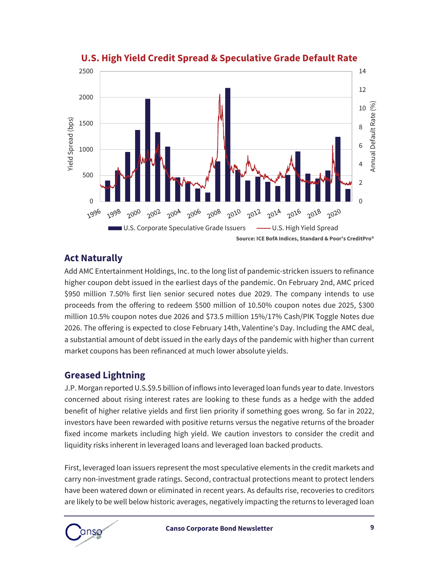

#### **U.S. High Yield Credit Spread & Speculative Grade Default Rate**

#### **Act Naturally**

Add AMC Entertainment Holdings, Inc. to the long list of pandemic-stricken issuers to refinance higher coupon debt issued in the earliest days of the pandemic. On February 2nd, AMC priced \$950 million 7.50% first lien senior secured notes due 2029. The company intends to use proceeds from the offering to redeem \$500 million of 10.50% coupon notes due 2025, \$300 million 10.5% coupon notes due 2026 and \$73.5 million 15%/17% Cash/PIK Toggle Notes due 2026. The offering is expected to close February 14th, Valentine's Day. Including the AMC deal, a substantial amount of debt issued in the early days of the pandemic with higher than current market coupons has been refinanced at much lower absolute yields.

#### **Greased Lightning**

J.P. Morgan reported U.S.\$9.5 billion of inflows into leveraged loan funds year to date. Investors concerned about rising interest rates are looking to these funds as a hedge with the added benefit of higher relative yields and first lien priority if something goes wrong. So far in 2022, investors have been rewarded with positive returns versus the negative returns of the broader fixed income markets including high yield. We caution investors to consider the credit and liquidity risks inherent in leveraged loans and leveraged loan backed products.

First, leveraged loan issuers represent the most speculative elements in the credit markets and carry non-investment grade ratings. Second, contractual protections meant to protect lenders have been watered down or eliminated in recent years. As defaults rise, recoveries to creditors are likely to be well below historic averages, negatively impacting the returns to leveraged loan

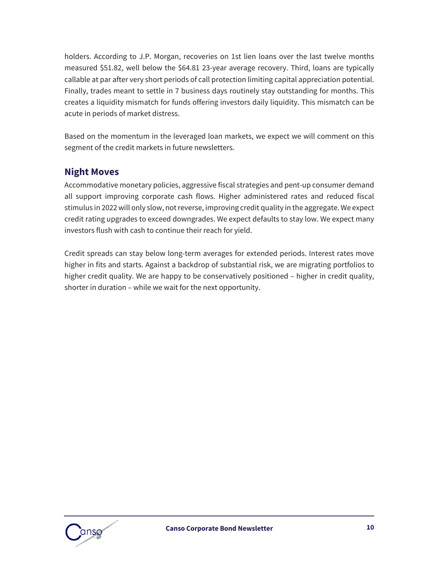holders. According to J.P. Morgan, recoveries on 1st lien loans over the last twelve months measured \$51.82, well below the \$64.81 23-year average recovery. Third, loans are typically callable at par after very short periods of call protection limiting capital appreciation potential. Finally, trades meant to settle in 7 business days routinely stay outstanding for months. This creates a liquidity mismatch for funds offering investors daily liquidity. This mismatch can be acute in periods of market distress.

Based on the momentum in the leveraged loan markets, we expect we will comment on this segment of the credit markets in future newsletters.

#### **Night Moves**

Accommodative monetary policies, aggressive fiscal strategies and pent-up consumer demand all support improving corporate cash flows. Higher administered rates and reduced fiscal stimulus in 2022 will only slow, not reverse, improving credit quality in the aggregate. We expect credit rating upgrades to exceed downgrades. We expect defaults to stay low. We expect many investors flush with cash to continue their reach for yield.

Credit spreads can stay below long-term averages for extended periods. Interest rates move higher in fits and starts. Against a backdrop of substantial risk, we are migrating portfolios to higher credit quality. We are happy to be conservatively positioned – higher in credit quality, shorter in duration – while we wait for the next opportunity.

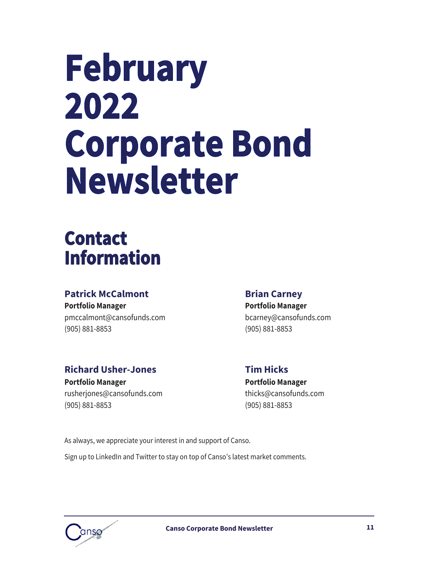# **February** 2022 **Corporate Bond Newsletter**

### **Contact Information**

#### **Patrick McCalmont Brian Carney**

**Portfolio Manager Portfolio Manager** [pmccalmont@cansofunds.com](mailto:pmccalmont@cansofunds.com) bcarney@cansofunds.com (905) 881-8853 (905) 881-8853

#### **Richard Usher-Jones Tim Hicks**

**Portfolio Manager Portfolio Manager** [rusherjones@cansofunds.com](mailto:rusherjones@cansofunds.com) thicks@cansofunds.com (905) 881-8853 (905) 881-8853

As always, we appreciate your interest in and support of Canso.

Sign up to LinkedIn and Twitter to stay on top of Canso's latest market comments.

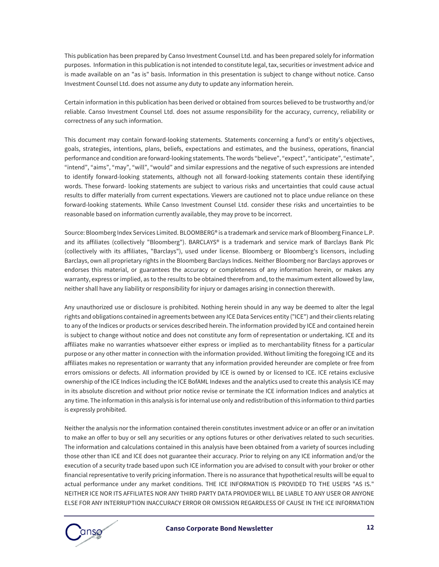This publication has been prepared by Canso Investment Counsel Ltd. and has been prepared solely for information purposes. Information in this publication is not intended to constitute legal, tax, securities or investment advice and is made available on an "as is" basis. Information in this presentation is subject to change without notice. Canso Investment Counsel Ltd. does not assume any duty to update any information herein.

Certain information in this publication has been derived or obtained from sources believed to be trustworthy and/or reliable. Canso Investment Counsel Ltd. does not assume responsibility for the accuracy, currency, reliability or correctness of any such information.

This document may contain forward-looking statements. Statements concerning a fund's or entity's objectives, goals, strategies, intentions, plans, beliefs, expectations and estimates, and the business, operations, financial performance and condition are forward-looking statements. The words "believe", "expect", "anticipate", "estimate", "intend", "aims", "may", "will", "would" and similar expressions and the negative of such expressions are intended to identify forward-looking statements, although not all forward-looking statements contain these identifying words. These forward- looking statements are subject to various risks and uncertainties that could cause actual results to differ materially from current expectations. Viewers are cautioned not to place undue reliance on these forward-looking statements. While Canso Investment Counsel Ltd. consider these risks and uncertainties to be reasonable based on information currently available, they may prove to be incorrect.

Source: Bloomberg Index Services Limited. BLOOMBERG® is a trademark and service mark of Bloomberg Finance L.P. and its affiliates (collectively "Bloomberg"). BARCLAYS® is a trademark and service mark of Barclays Bank Plc (collectively with its affiliates, "Barclays"), used under license. Bloomberg or Bloomberg's licensors, including Barclays, own all proprietary rights in the Bloomberg Barclays Indices. Neither Bloomberg nor Barclays approves or endorses this material, or guarantees the accuracy or completeness of any information herein, or makes any warranty, express or implied, as to the results to be obtained therefrom and, to the maximum extent allowed by law, neither shall have any liability or responsibility for injury or damages arising in connection therewith.

Any unauthorized use or disclosure is prohibited. Nothing herein should in any way be deemed to alter the legal rights and obligations contained in agreements between any ICE Data Services entity ("ICE") and their clients relating to any of the Indices or products or services described herein. The information provided by ICE and contained herein is subject to change without notice and does not constitute any form of representation or undertaking. ICE and its affiliates make no warranties whatsoever either express or implied as to merchantability fitness for a particular purpose or any other matter in connection with the information provided. Without limiting the foregoing ICE and its affiliates makes no representation or warranty that any information provided hereunder are complete or free from errors omissions or defects. All information provided by ICE is owned by or licensed to ICE. ICE retains exclusive ownership of the ICE Indices including the ICE BofAML Indexes and the analytics used to create this analysis ICE may in its absolute discretion and without prior notice revise or terminate the ICE information Indices and analytics at any time. The information in this analysis is for internal use only and redistribution of this information to third parties is expressly prohibited.

Neither the analysis nor the information contained therein constitutes investment advice or an offer or an invitation to make an offer to buy or sell any securities or any options futures or other derivatives related to such securities. The information and calculations contained in this analysis have been obtained from a variety of sources including those other than ICE and ICE does not guarantee their accuracy. Prior to relying on any ICE information and/or the execution of a security trade based upon such ICE information you are advised to consult with your broker or other financial representative to verify pricing information. There is no assurance that hypothetical results will be equal to actual performance under any market conditions. THE ICE INFORMATION IS PROVIDED TO THE USERS "AS IS." NEITHER ICE NOR ITS AFFILIATES NOR ANY THIRD PARTY DATA PROVIDER WILL BE LIABLE TO ANY USER OR ANYONE ELSE FOR ANY INTERRUPTION INACCURACY ERROR OR OMISSION REGARDLESS OF CAUSE IN THE ICE INFORMATION